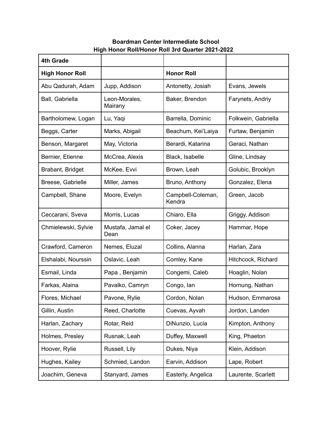## **Boardman Center Intermediate School High Honor Roll/Honor Roll 3rd Quarter 2021-2022**

| <b>4th Grade</b>       |                           |                             |                     |
|------------------------|---------------------------|-----------------------------|---------------------|
| <b>High Honor Roll</b> |                           | <b>Honor Roll</b>           |                     |
| Abu Qadurah, Adam      | Jupp, Addison             | Antonetty, Josiah           | Evans, Jewels       |
| Ball, Gabriella        | Leon-Morales,<br>Mairany  | Baker, Brendon              | Farynets, Andriy    |
| Bartholomew, Logan     | Lu, Yaqi                  | Barrella, Dominic           | Folkwein, Gabriella |
| Beggs, Carter          | Marks, Abigail            | Beachum, Kei'Laiya          | Furtaw, Benjamin    |
| Benson, Margaret       | May, Victoria             | Berardi, Katarina           | Geraci, Nathan      |
| Bernier, Etienne       | McCrea, Alexis            | Black, Isabelle             | Gline, Lindsay      |
| Brabant, Bridget       | McKee, Evvi               | Brown, Leah                 | Golubic, Brooklyn   |
| Breese, Gabrielle      | Miller, James             | Bruno, Anthony              | Gonzalez, Elena     |
| Campbell, Shane        | Moore, Evelyn             | Campbell-Coleman,<br>Kendra | Green, Jacob        |
| Ceccarani, Sveva       | Morris, Lucas             | Chiaro, Ella                | Griggy, Addison     |
| Chmielewski, Sylvie    | Mustafa, Jamal el<br>Dean | Coker, Jacey                | Hammar, Hope        |
| Crawford, Cameron      | Nemes, Eluzal             | Collins, Alanna             | Harlan, Zara        |
| Elshalabi, Nourssin    | Oslavic, Leah             | Comley, Kane                | Hitchcock, Richard  |
| Esmail, Linda          | Papa, Benjamin            | Congemi, Caleb              | Hoaglin, Nolan      |
| Farkas, Alaina         | Pavalko, Camryn           | Congo, lan                  | Hornung, Nathan     |
| Flores, Michael        | Pavone, Rylie             | Cordon, Nolan               | Hudson, Emmarosa    |
| Gillin, Austin         | Reed, Charlotte           | Cuevas, Ayvah               | Jordon, Landen      |
| Harlan, Zachary        | Rotar, Reid               | DiNunzio, Lucia             | Kimpton, Anthony    |
| Holmes, Presley        | Rusnak, Leah              | Duffey, Maxwell             | King, Phaeton       |
| Hoover, Rylie          | Russell, Lily             | Dukes, Niya                 | Klein, Addison      |
| Hughes, Kailey         | Schmied, Landon           | Earvin, Addison             | Lape, Robert        |
| Joachim, Geneva        | Stanyard, James           | Easterly, Angelica          | Laurente, Scarlett  |